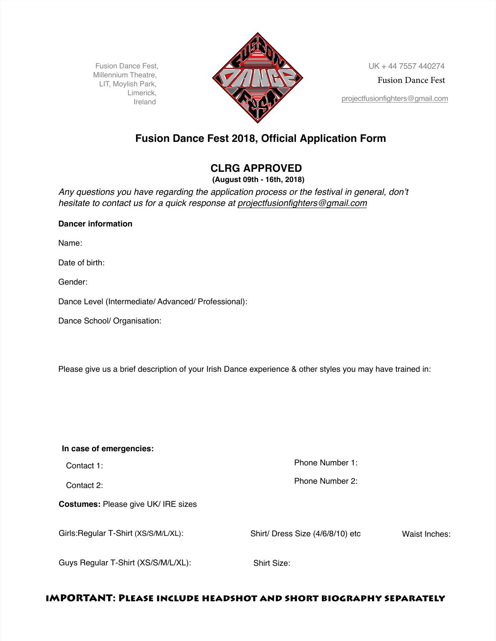Millennium Theatre, LIT, Moylish Park, Limerick,



Fusion Dance Fest

## **Fusion Dance Fest 2018, Official Application Form**

# $CLRG$  APPROVED

**(August 0th - 16th, 2018)**

Any questions you have regarding the application process or the festival in general, don't *hesitate to contact us for a quick response at projectfusionfighters@gmail.com* 

### **Dancer information**

Name:

Date of birth:

Gender:

Dance Level (Intermediate/ Advanced/ Professional):

Dance School/ Organisation:

Please give us a brief description of your Irish Dance experience & other styles you may have trained in:

| In case of emergencies:                    |                                  |               |
|--------------------------------------------|----------------------------------|---------------|
| Contact 1:                                 | Phone Number 1:                  |               |
| Contact 2:                                 | Phone Number 2:                  |               |
| <b>Costumes: Please give UK/ IRE sizes</b> |                                  |               |
| Girls: Regular T-Shirt (XS/S/M/L/XL):      | Shirt/ Dress Size (4/6/8/10) etc | Waist Inches: |
| Guys Regular T-Shirt (XS/S/M/L/XL):        | Shirt Size:                      |               |

#### **Video Application** (To the music of your choice, minimum 30 seconds, please send a current video or video linN IMPORTANT: PLEASE INCLUDE HEADSHOT AND SHORT BIOGRAPHY SEPARATELY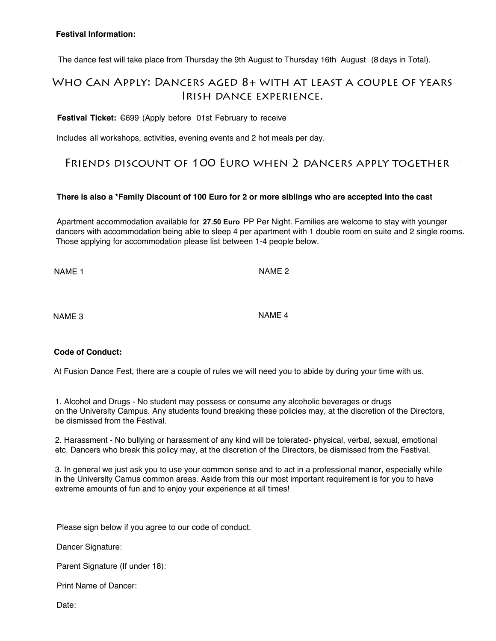### **Festival Information:**

The dance fest will take place from Thursday the 9th August to Thursday 16th August (8 days in Total).

### WHO CAN APPLY: DANCERS AGED 8+ WITH AT LEAST A COUPLE OF YEARS IRISH DANCE EXPERIENCE.

**Festival Ticket: €699 (Apply before 01st February to receive** 

Includes all workshops, activities, evening events and 2 hot meals per day.

### FRIENDS DISCOUNT OF 100 EURO WHEN 2 DANCERS APPLY TOGETHER

### There is also a \*Family Discount of 100 Euro for 2 or more siblings who are accepted into the cast

Apartment accommodation available for 27.50 Euro PP Per Night. Families are welcome to stay with younger dancers with accommodation being able to sleep 4 per apartment with 1 double room en suite and 2 single rooms. Those applying for accommodation please list between 1-4 people below.

NAME<sub>1</sub>

NAME<sub>2</sub>

NAME<sub>3</sub>

NAMF<sub>4</sub>

### **Code of Conduct:**

At Fusion Dance Fest, there are a couple of rules we will need you to abide by during your time with us.

1. Alcohol and Drugs - No student may possess or consume any alcoholic beverages or drugs on the University Campus. Any students found breaking these policies may, at the discretion of the Directors, be dismissed from the Festival.

2. Harassment - No bullying or harassment of any kind will be tolerated- physical, verbal, sexual, emotional etc. Dancers who break this policy may, at the discretion of the Directors, be dismissed from the Festival.

3. In general we just ask you to use your common sense and to act in a professional manor, especially while in the University Camus common areas. Aside from this our most important requirement is for you to have extreme amounts of fun and to enjoy your experience at all times!

Please sign below if you agree to our code of conduct.

Dancer Signature:

Parent Signature (If under 18):

Print Name of Dancer:

Date: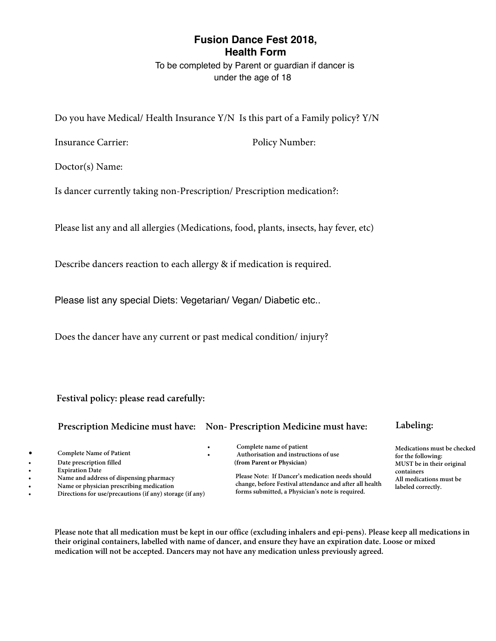### **Fusion Dance Fest 2018, Health Form**

To be completed by Parent or guardian if dancer is under the age of 18

Do you have Medical/ Health Insurance Y/N Is this part of a Family policy? Y/N

Insurance Carrier: Policy Number:

Doctor(s) Name:

Is dancer currently taking non-Prescription/ Prescription medication?:

Please list any and all allergies (Medications, food, plants, insects, hay fever, etc)

Describe dancers reaction to each allergy & if medication is required.

Please list any special Diets: Vegetarian/ Vegan/ Diabetic etc..

Does the dancer have any current or past medical condition/ injury?

Festival policy: please read carefully:

**Prescription Medicine must have:** Non-Prescription Medicine must have: Labeling:

- 
- **Date prescription filled**
- 
- 
- 
- 

<p>\n<b>•</b> <i>Complete Name of Patient</i><br/>\n<b>•</b> <i>Complete Name of Patient</i><br/>\n<b>•</b> <i>Authentication and instructions of use</i><br/>\n<b>•</b> <i>Method</i><br/>\n<b>•</b> <i>Method</i><br/>\n<b>•</b> <i>Complete name of patient</i><br/>\n<b>•</b> <i>Authorisation and instructions of use</i><br/>\n<b>•</b> <i>or the following:</i><br/>\n<b>or the following:</b><br/>\n<b>or the following:</b><br/>\n<b>or the following:</b><br/>\n<b>or the following:</b><br/>\n<b>or the following:</b><br/>\n<b>or the following:</b><br/>\n

**¡ ¬üôíöåøíóò«åøé çóòøåíòéö÷ ·ðéå÷éµóøé °ê«åòçéö÷ñéèíçåøíóòòééè÷÷ìóùðè ¡ µåñéåòèåèèöé÷÷óêèí÷ôéò÷íòëôìåöñåçý ¨ððñéèíçåøíóò÷ñù÷øæé** • Name or physician prescribing medication change, before restival attendance and after all health<br>
Directions for use/precautions (if any) storage (if any) forms submitted, a Physician's note is required.

**MUST** be in their original

Please note that all medication must be kept in our office (excluding inhalers and epi-pens). Please keep all medications in their original containers, labelled with name of dancer, and ensure they have an expiration date. Loose or mixed medication will not be accepted. Dancers may not have any medication unless previously agreed.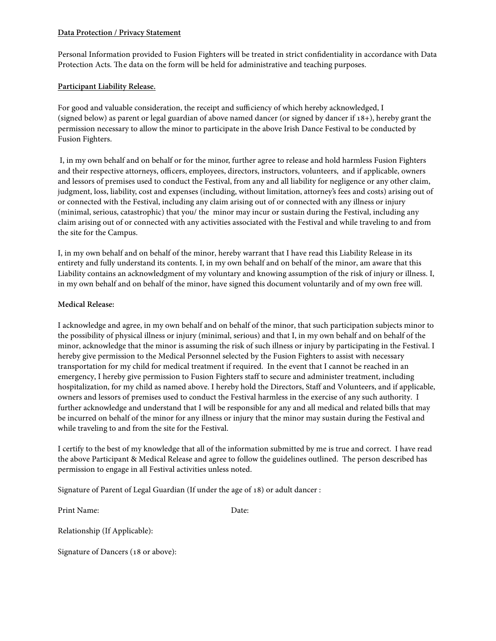### **Data Protection / Privacy Statement**

Personal Information provided to Fusion Fighters will be treated in strict confdentiality in accordance with Data Protection Acts. The data on the form will be held for administrative and teaching purposes.

### **Participant Liability Release.**

For good and valuable consideration, the receipt and sufficiency of which hereby acknowledged, I (signed below) as parent or legal guardian of above named dancer (or signed by dancer if 18+), hereby grant the permission necessary to allow the minor to participate in the above Irish Dance Festival to be conducted by Fusion Fighters.

 I, in my own behalf and on behalf or for the minor, further agree to release and hold harmless Fusion Fighters and their respective attorneys, officers, employees, directors, instructors, volunteers, and if applicable, owners and lessors of premises used to conduct the Festival, from any and all liability for negligence or any other claim, judgment, loss, liability, cost and expenses (including, without limitation, attorney's fees and costs) arising out of or connected with the Festival, including any claim arising out of or connected with any illness or injury (minimal, serious, catastrophic) that you/ the minor may incur or sustain during the Festival, including any claim arising out of or connected with any activities associated with the Festival and while traveling to and from the site for the Campus.

I, in my own behalf and on behalf of the minor, hereby warrant that I have read this Liability Release in its entirety and fully understand its contents. I, in my own behalf and on behalf of the minor, am aware that this Liability contains an acknowledgment of my voluntary and knowing assumption of the risk of injury or illness. I, in my own behalf and on behalf of the minor, have signed this document voluntarily and of my own free will.

### **Medical Release:**

I acknowledge and agree, in my own behalf and on behalf of the minor, that such participation subjects minor to the possibility of physical illness or injury (minimal, serious) and that I, in my own behalf and on behalf of the minor, acknowledge that the minor is assuming the risk of such illness or injury by participating in the Festival. I hereby give permission to the Medical Personnel selected by the Fusion Fighters to assist with necessary transportation for my child for medical treatment if required. In the event that I cannot be reached in an emergency, I hereby give permission to Fusion Fighters staff to secure and administer treatment, including hospitalization, for my child as named above. I hereby hold the Directors, Staff and Volunteers, and if applicable, owners and lessors of premises used to conduct the Festival harmless in the exercise of any such authority. I further acknowledge and understand that I will be responsible for any and all medical and related bills that may be incurred on behalf of the minor for any illness or injury that the minor may sustain during the Festival and while traveling to and from the site for the Festival.

I certify to the best of my knowledge that all of the information submitted by me is true and correct. I have read the above Participant & Medical Release and agree to follow the guidelines outlined. The person described has permission to engage in all Festival activities unless noted.

Signature of Parent of Legal Guardian (If under the age of 18) or adult dancer :

Print Name: Date:

Relationship (If Applicable):

Signature of Dancers (18 or above):